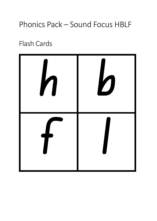## Phonics Pack – Sound Focus HBLF

Flash Cards

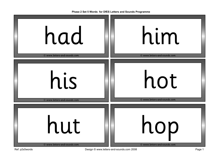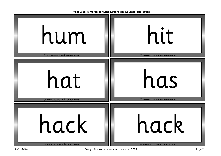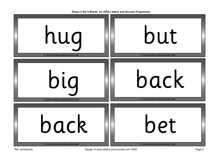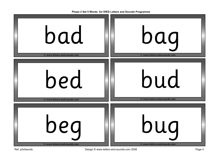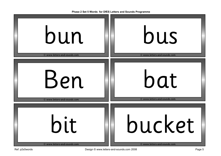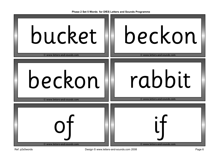

| bucket                       | beckon                       |
|------------------------------|------------------------------|
| © www.letters-and-sounds.com | © www.letters-and-sounds.com |
| beckon                       | rabbit                       |
| © www.letters-and-sounds.com | © www.letters-and-sounds.com |
| © www.letters-and-sounds.com | © www.letters-and-sounds.com |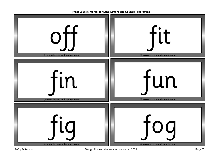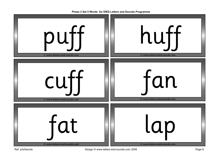

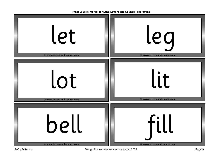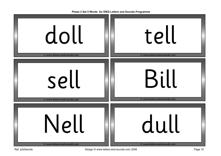| doll                         | tell                         |
|------------------------------|------------------------------|
| © www.letters-and-sounds.com | © www.letters-and-sounds.com |
| sell                         | Bill                         |
| © www.letters-and-sounds.com | © www.letters-and-sounds.com |
| <b>Nell</b>                  | dull                         |
| © www.letters-and-sounds.com | © www.letters-and-sounds.com |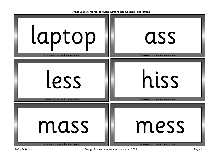| laptop                       | ass                          |
|------------------------------|------------------------------|
| © www.letters-and-sounds.com | © www.letters-and-sounds.com |
| less                         | hiss                         |
| © www.letters-and-sounds.com | © www.letters-and-sounds.com |
| mass                         | mess                         |
| © www.letters-and-sounds.com | © www.letters-and-sounds.com |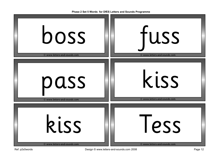| boss                         | fuss                         |
|------------------------------|------------------------------|
| © www.letters-and-sounds.com | © www.letters-and-sounds.com |
| pass                         | kiss                         |
| © www.letters-and-sounds.com | © www.letters-and-sounds.com |
| kiss                         | Tess                         |
| © www.letters-and-sounds.com | © www.letters-and-sounds.com |